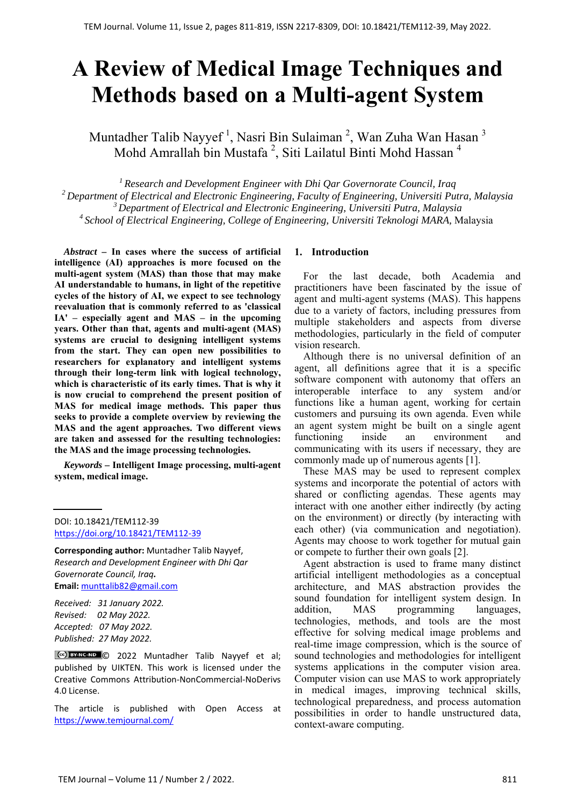# **A Review of Medical Image Techniques and Methods based on a Multi-agent System**

Muntadher Talib Nayyef <sup>1</sup>, Nasri Bin Sulaiman <sup>2</sup>, Wan Zuha Wan Hasan <sup>3</sup> Mohd Amrallah bin Mustafa<sup>2</sup>, Siti Lailatul Binti Mohd Hassan<sup>4</sup>

*1 Research and Development Engineer with Dhi Qar Governorate Council, Iraq 2 Department of Electrical and Electronic Engineering, Faculty of Engineering, Universiti Putra, Malaysia 3 Department of Electrical and Electronic Engineering, Universiti Putra, Malaysia 4 School of Electrical Engineering, College of Engineering, Universiti Teknologi MARA,* Malaysia

*Abstract –* **In cases where the success of artificial intelligence (AI) approaches is more focused on the multi-agent system (MAS) than those that may make AI understandable to humans, in light of the repetitive cycles of the history of AI, we expect to see technology reevaluation that is commonly referred to as 'classical IA' – especially agent and MAS – in the upcoming years. Other than that, agents and multi-agent (MAS) systems are crucial to designing intelligent systems from the start. They can open new possibilities to researchers for explanatory and intelligent systems through their long-term link with logical technology, which is characteristic of its early times. That is why it is now crucial to comprehend the present position of MAS for medical image methods. This paper thus seeks to provide a complete overview by reviewing the MAS and the agent approaches. Two different views are taken and assessed for the resulting technologies: the MAS and the image processing technologies.** 

*Keywords –* **Intelligent Image processing, multi-agent system, medical image.** 

DOI: 10.18421/TEM112-39 [https://doi.org/10.18421/TEM112](https://doi.org/10.18421/TEM112-39)-39

**Corresponding author:** Muntadher Talib Nayyef, *Research and Development Engineer with Dhi Qar Governorate Council, Iraq.* **Email:** munttalib82@gmail.com

*Received: 31 January 2022. Revised: 02 May 2022. Accepted: 07 May 2022. Published: 27 May 2022.* 

© 2022 Muntadher Talib Nayyef et al; published by UIKTEN. This work is licensed under the Creative Commons Attribution‐NonCommercial‐NoDerivs 4.0 License.

The article is published with Open Access at https://www.temjournal.com/

#### **1. Introduction**

For the last decade, both Academia and practitioners have been fascinated by the issue of agent and multi-agent systems (MAS). This happens due to a variety of factors, including pressures from multiple stakeholders and aspects from diverse methodologies, particularly in the field of computer vision research.

Although there is no universal definition of an agent, all definitions agree that it is a specific software component with autonomy that offers an interoperable interface to any system and/or functions like a human agent, working for certain customers and pursuing its own agenda. Even while an agent system might be built on a single agent functioning inside an environment and communicating with its users if necessary, they are commonly made up of numerous agents [1].

These MAS may be used to represent complex systems and incorporate the potential of actors with shared or conflicting agendas. These agents may interact with one another either indirectly (by acting on the environment) or directly (by interacting with each other) (via communication and negotiation). Agents may choose to work together for mutual gain or compete to further their own goals [2].

Agent abstraction is used to frame many distinct artificial intelligent methodologies as a conceptual architecture, and MAS abstraction provides the sound foundation for intelligent system design. In addition, MAS programming languages, technologies, methods, and tools are the most effective for solving medical image problems and real-time image compression, which is the source of sound technologies and methodologies for intelligent systems applications in the computer vision area. Computer vision can use MAS to work appropriately in medical images, improving technical skills, technological preparedness, and process automation possibilities in order to handle unstructured data, context-aware computing.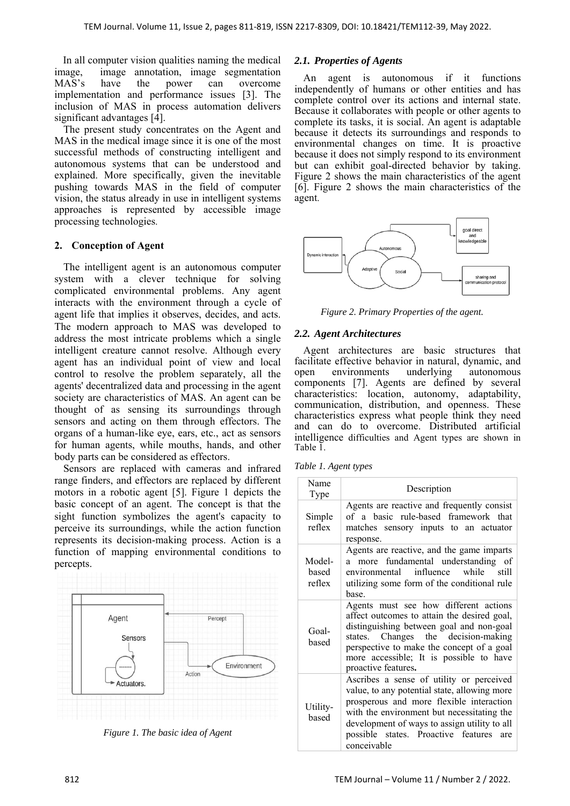In all computer vision qualities naming the medical image, image annotation, image segmentation MAS's have the power can overcome implementation and performance issues [3]. The inclusion of MAS in process automation delivers significant advantages [4].

The present study concentrates on the Agent and MAS in the medical image since it is one of the most successful methods of constructing intelligent and autonomous systems that can be understood and explained. More specifically, given the inevitable pushing towards MAS in the field of computer vision, the status already in use in intelligent systems approaches is represented by accessible image processing technologies.

## **2. Conception of Agent**

The intelligent agent is an autonomous computer system with a clever technique for solving complicated environmental problems. Any agent interacts with the environment through a cycle of agent life that implies it observes, decides, and acts. The modern approach to MAS was developed to address the most intricate problems which a single intelligent creature cannot resolve. Although every agent has an individual point of view and local control to resolve the problem separately, all the agents' decentralized data and processing in the agent society are characteristics of MAS. An agent can be thought of as sensing its surroundings through sensors and acting on them through effectors. The organs of a human-like eye, ears, etc., act as sensors for human agents, while mouths, hands, and other body parts can be considered as effectors.

Sensors are replaced with cameras and infrared range finders, and effectors are replaced by different motors in a robotic agent [5]. Figure 1 depicts the basic concept of an agent. The concept is that the sight function symbolizes the agent's capacity to perceive its surroundings, while the action function represents its decision-making process. Action is a function of mapping environmental conditions to percepts.



*Figure 1. The basic idea of Agent* 

#### *2.1. Properties of Agents*

An agent is autonomous if it functions independently of humans or other entities and has complete control over its actions and internal state. Because it collaborates with people or other agents to complete its tasks, it is social. An agent is adaptable because it detects its surroundings and responds to environmental changes on time. It is proactive because it does not simply respond to its environment but can exhibit goal-directed behavior by taking. Figure 2 shows the main characteristics of the agent [6]. Figure 2 shows the main characteristics of the agent.



*Figure 2. Primary Properties of the agent.* 

## *2.2. Agent Architectures*

Agent architectures are basic structures that facilitate effective behavior in natural, dynamic, and open environments underlying autonomous components [7]. Agents are defined by several characteristics: location, autonomy, adaptability, communication, distribution, and openness. These characteristics express what people think they need and can do to overcome. Distributed artificial intelligence difficulties and Agent types are shown in Table 1.

|  |  | Table 1. Agent types |  |
|--|--|----------------------|--|
|--|--|----------------------|--|

| Name<br>Type              | Description                                                                                                                                                                                                                                                                                  |
|---------------------------|----------------------------------------------------------------------------------------------------------------------------------------------------------------------------------------------------------------------------------------------------------------------------------------------|
| Simple<br>reflex          | Agents are reactive and frequently consist<br>of a basic rule-based framework that<br>matches sensory inputs to an actuator<br>response.                                                                                                                                                     |
| Model-<br>hased<br>reflex | Agents are reactive, and the game imparts<br>a more fundamental understanding of<br>environmental influence<br>while still<br>utilizing some form of the conditional rule<br>hase                                                                                                            |
| Goal-<br>based            | Agents must see how different actions<br>affect outcomes to attain the desired goal,<br>distinguishing between goal and non-goal<br>states. Changes the decision-making<br>perspective to make the concept of a goal<br>more accessible; It is possible to have<br>proactive features.       |
| Utility-<br>based         | Ascribes a sense of utility or perceived<br>value, to any potential state, allowing more<br>prosperous and more flexible interaction<br>with the environment but necessitating the<br>development of ways to assign utility to all<br>possible states. Proactive features are<br>conceivable |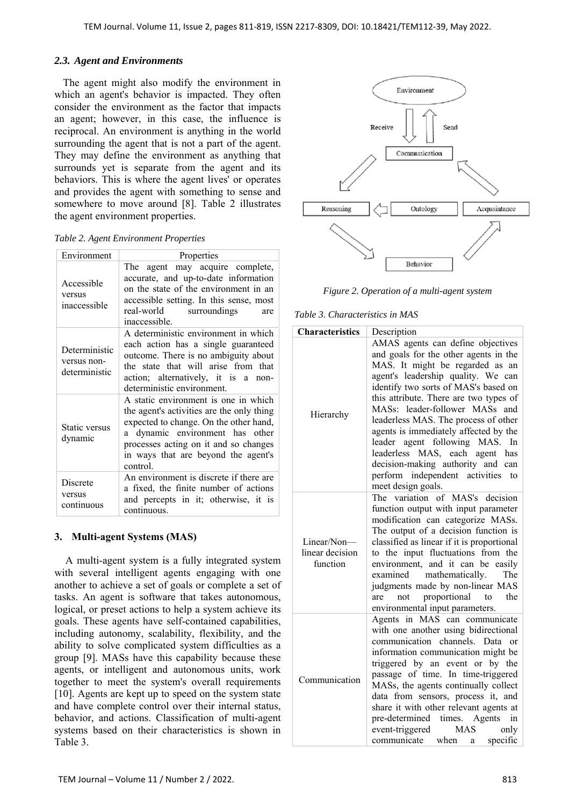## *2.3. Agent and Environments*

The agent might also modify the environment in which an agent's behavior is impacted. They often consider the environment as the factor that impacts an agent; however, in this case, the influence is reciprocal. An environment is anything in the world surrounding the agent that is not a part of the agent. They may define the environment as anything that surrounds yet is separate from the agent and its behaviors. This is where the agent lives' or operates and provides the agent with something to sense and somewhere to move around [8]. Table 2 illustrates the agent environment properties.

|  |  | Table 2. Agent Environment Properties |
|--|--|---------------------------------------|
|--|--|---------------------------------------|

| Environment                                   | Properties                                                                                                                                                                                                                                                 |  |  |
|-----------------------------------------------|------------------------------------------------------------------------------------------------------------------------------------------------------------------------------------------------------------------------------------------------------------|--|--|
| Accessible<br>versus<br>inaccessible          | The agent may acquire complete,<br>accurate, and up-to-date information<br>on the state of the environment in an<br>accessible setting. In this sense, most<br>real-world surroundings<br>are<br>inaccessible.                                             |  |  |
| Deterministic<br>versus non-<br>deterministic | A deterministic environment in which<br>each action has a single guaranteed<br>outcome. There is no ambiguity about<br>the state that will arise from that<br>action; alternatively, it is a non-<br>deterministic environment.                            |  |  |
| Static versus<br>dynamic                      | A static environment is one in which<br>the agent's activities are the only thing<br>expected to change. On the other hand,<br>a dynamic environment has other<br>processes acting on it and so changes<br>in ways that are beyond the agent's<br>control. |  |  |
| Discrete<br>versus<br>continuous              | An environment is discrete if there are<br>a fixed, the finite number of actions<br>and percepts in it; otherwise, it is<br>continuous.                                                                                                                    |  |  |

## **3. Multi-agent Systems (MAS)**

A multi-agent system is a fully integrated system with several intelligent agents engaging with one another to achieve a set of goals or complete a set of tasks. An agent is software that takes autonomous, logical, or preset actions to help a system achieve its goals. These agents have self-contained capabilities, including autonomy, scalability, flexibility, and the ability to solve complicated system difficulties as a group [9]. MASs have this capability because these agents, or intelligent and autonomous units, work together to meet the system's overall requirements [10]. Agents are kept up to speed on the system state and have complete control over their internal status, behavior, and actions. Classification of multi-agent systems based on their characteristics is shown in Table 3.



*Figure 2. Operation of a multi-agent system* 

#### *Table 3. Characteristics in MAS*

| <b>Characteristics</b>                     | Description                                                                                                                                                                                                                                                                                                                                                                                                                                                                                                                     |  |
|--------------------------------------------|---------------------------------------------------------------------------------------------------------------------------------------------------------------------------------------------------------------------------------------------------------------------------------------------------------------------------------------------------------------------------------------------------------------------------------------------------------------------------------------------------------------------------------|--|
| Hierarchy                                  | AMAS agents can define objectives<br>and goals for the other agents in the<br>MAS. It might be regarded as an<br>agent's leadership quality. We can<br>identify two sorts of MAS's based on<br>this attribute. There are two types of<br>MASs: leader-follower MASs and<br>leaderless MAS. The process of other<br>agents is immediately affected by the<br>leader agent following MAS. In<br>leaderless MAS, each agent has<br>decision-making authority and can<br>perform independent activities<br>to<br>meet design goals. |  |
| Linear/Non-<br>linear decision<br>function | The variation of MAS's decision<br>function output with input parameter<br>modification can categorize MASs.<br>The output of a decision function is<br>classified as linear if it is proportional<br>to the input fluctuations from the<br>environment, and it can be<br>easily<br>mathematically.<br>examined<br>The<br>judgments made by non-linear MAS<br>proportional<br>to<br>the<br>not<br>are<br>environmental input parameters.                                                                                        |  |
| Communication                              | Agents in MAS<br>can communicate<br>with one another using bidirectional<br>communication channels.<br>Data<br>or<br>information communication might be<br>triggered by an event or by the<br>passage of time. In time-triggered<br>MASs, the agents continually collect<br>data from sensors, process it, and<br>share it with other relevant agents at<br>Agents<br>in<br>pre-determined times.<br>event-triggered<br><b>MAS</b><br>only<br>communicate when<br>specific<br>a                                                 |  |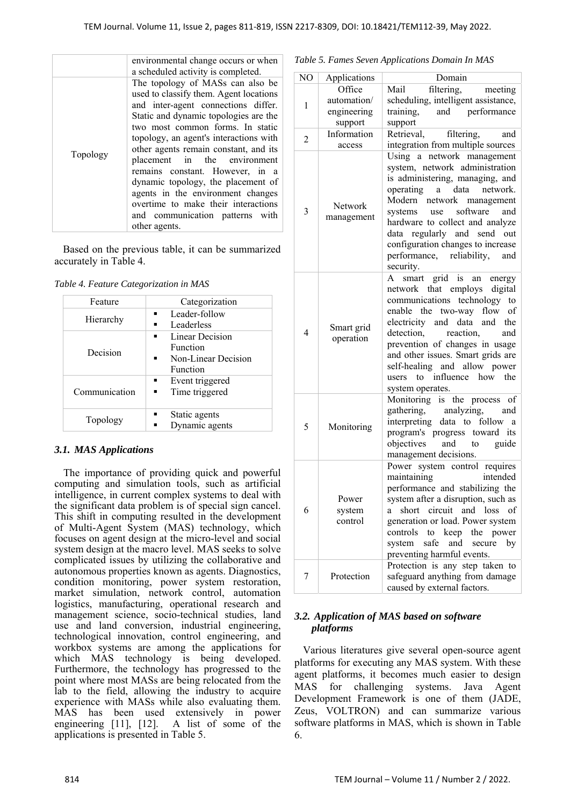|          | environmental change occurs or when<br>a scheduled activity is completed.                                                                                                                                                                                                                                                                                                                                                                                                                                                  |
|----------|----------------------------------------------------------------------------------------------------------------------------------------------------------------------------------------------------------------------------------------------------------------------------------------------------------------------------------------------------------------------------------------------------------------------------------------------------------------------------------------------------------------------------|
| Topology | The topology of MASs can also be<br>used to classify them. Agent locations<br>and inter-agent connections differ.<br>Static and dynamic topologies are the<br>two most common forms. In static<br>topology, an agent's interactions with<br>other agents remain constant, and its<br>placement in the environment<br>remains constant. However, in a<br>dynamic topology, the placement of<br>agents in the environment changes<br>overtime to make their interactions<br>and communication patterns with<br>other agents. |

Based on the previous table, it can be summarized accurately in Table 4.

*Table 4. Feature Categorization in MAS* 

| Feature       | Categorization            |
|---------------|---------------------------|
| Hierarchy     | Leader-follow             |
|               | Leaderless                |
| Decision      | Linear Decision           |
|               | <b>Function</b>           |
|               | Non-Linear Decision<br>п. |
|               | Function                  |
| Communication | Event triggered           |
|               | Time triggered            |
|               |                           |
| Topology      | Static agents             |
|               | Dynamic agents            |

## *3.1. MAS Applications*

The importance of providing quick and powerful computing and simulation tools, such as artificial intelligence, in current complex systems to deal with the significant data problem is of special sign cancel. This shift in computing resulted in the development of Multi-Agent System (MAS) technology, which focuses on agent design at the micro-level and social system design at the macro level. MAS seeks to solve complicated issues by utilizing the collaborative and autonomous properties known as agents. Diagnostics, condition monitoring, power system restoration, market simulation, network control, automation logistics, manufacturing, operational research and management science, socio-technical studies, land use and land conversion, industrial engineering, technological innovation, control engineering, and workbox systems are among the applications for which MAS technology is being developed. Furthermore, the technology has progressed to the point where most MASs are being relocated from the lab to the field, allowing the industry to acquire experience with MASs while also evaluating them. MAS has been used extensively in power engineering [11], [12]. A list of some of the applications is presented in Table 5.

| Table 5. Fames Seven Applications Domain In MAS |
|-------------------------------------------------|
|-------------------------------------------------|

| NO             | Applications               | Domain                                                                                                                                                                                                                                                                                                                                                               |
|----------------|----------------------------|----------------------------------------------------------------------------------------------------------------------------------------------------------------------------------------------------------------------------------------------------------------------------------------------------------------------------------------------------------------------|
|                | Office                     | filtering,<br>Mail<br>meeting                                                                                                                                                                                                                                                                                                                                        |
| 1              | automation/                | scheduling, intelligent assistance,                                                                                                                                                                                                                                                                                                                                  |
|                | engineering                | training,<br>and performance                                                                                                                                                                                                                                                                                                                                         |
|                | support                    | support                                                                                                                                                                                                                                                                                                                                                              |
| $\overline{c}$ | Information                | Retrieval,<br>filtering,<br>and                                                                                                                                                                                                                                                                                                                                      |
|                | access                     | integration from multiple sources                                                                                                                                                                                                                                                                                                                                    |
| 3              | Network<br>management      | Using a network management<br>system, network administration<br>is administering, managing, and<br>data<br>operating<br>network.<br>$\mathbf{a}$<br>Modern network management<br>use software and<br>systems<br>hardware to collect and analyze<br>data regularly and send out<br>configuration changes to increase<br>performance, reliability,<br>and<br>security. |
| 4              | Smart grid<br>operation    | grid is<br>smart<br>an energy<br>A<br>network that employs digital<br>communications technology<br>to<br>enable the two-way flow of<br>electricity and data<br>and the<br>detection,<br>reaction,<br>and<br>prevention of changes in usage<br>and other issues. Smart grids are<br>self-healing and allow power<br>users to influence how the<br>system operates.    |
| 5              | Monitoring                 | Monitoring is the process of<br>gathering, analyzing, and<br>interpreting data to follow a<br>program's progress toward its<br>objectives<br>and<br>guide<br>to<br>management decisions.                                                                                                                                                                             |
| 6              | Power<br>system<br>control | Power system control requires<br>maintaining<br>intended<br>performance and stabilizing the<br>system after a disruption, such as<br>circuit<br>short<br>and loss<br>of<br>a<br>generation or load. Power system<br>the power<br>controls<br>to keep<br>safe<br>and<br>system<br>secure<br>by<br>preventing harmful events.                                          |
| 7              | Protection                 | Protection is any step taken to<br>safeguard anything from damage<br>caused by external factors.                                                                                                                                                                                                                                                                     |

## *3.2. Application of MAS based on software platforms*

Various literatures give several open-source agent platforms for executing any MAS system. With these agent platforms, it becomes much easier to design MAS for challenging systems. Java Agent Development Framework is one of them (JADE, Zeus, VOLTRON) and can summarize various software platforms in MAS, which is shown in Table 6.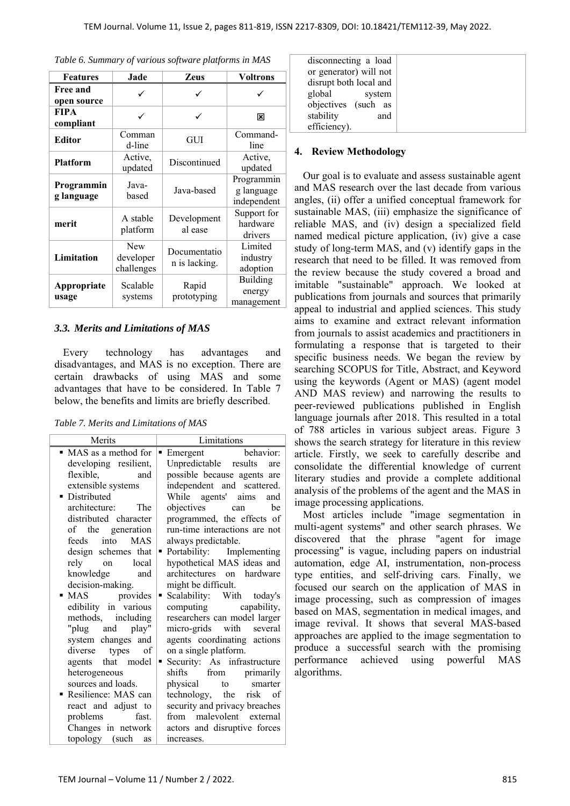| <b>Features</b>                | Jade                           | Zeus                          | Voltrons                                |
|--------------------------------|--------------------------------|-------------------------------|-----------------------------------------|
| <b>Free and</b><br>open source | ✓                              | ✓                             |                                         |
| <b>FIPA</b><br>compliant       | ✓                              | ✓                             | 区                                       |
| <b>Editor</b>                  | Comman<br>d-line               | GUI                           | Command-<br>line                        |
| <b>Platform</b>                | Active,<br>updated             | Discontinued                  | Active,<br>updated                      |
| Programmin<br>g language       | Java-<br>based                 | Java-based                    | Programmin<br>g language<br>independent |
| merit                          | A stable<br>platform           | Development<br>al ease        | Support for<br>hardware<br>drivers      |
| Limitation                     | New<br>developer<br>challenges | Documentatio<br>n is lacking. | Limited<br>industry<br>adoption         |
| Appropriate<br>usage           | Scalable<br>systems            | Rapid<br>prototyping          | Building<br>energy<br>management        |

## *3.3. Merits and Limitations of MAS*

Every technology has advantages and disadvantages, and MAS is no exception. There are certain drawbacks of using MAS and some advantages that have to be considered. In Table 7 below, the benefits and limits are briefly described.

*Table 7. Merits and Limitations of MAS* 

| Merits                   | Limitations                          |
|--------------------------|--------------------------------------|
| • MAS as a method for    | behavior:<br>$\blacksquare$ Emergent |
| developing resilient,    | Unpredictable results<br>are         |
| flexible.<br>and         | possible because agents are          |
| extensible systems       | independent and scattered.           |
| · Distributed            | While agents' aims<br>and            |
| architecture: The        | objectives<br>he<br>can              |
| distributed character    | programmed, the effects of           |
| of the generation        | run-time interactions are not        |
| <b>MAS</b><br>feeds into | always predictable.                  |
| design schemes that      | Portability: Implementing<br>٠       |
| rely on<br>local         | hypothetical MAS ideas and           |
| knowledge and            | architectures on hardware            |
| decision-making.         | might be difficult.                  |
| • MAS provides           | Scalability: With today's<br>٠       |
| edibility in various     | computing capability,                |
| methods, including       | researchers can model larger         |
| "plug and play"          | micro-grids with several             |
| system changes and       | agents coordinating actions          |
| types<br>diverse<br>of   | on a single platform.                |
| agents that model        | Security: As infrastructure<br>٠     |
| heterogeneous            | shifts from primarily                |
| sources and loads.       | physical<br>to<br>smarter            |
| Resilience: MAS can<br>٠ | technology, the risk of              |
| react and adjust to      | security and privacy breaches        |
| problems<br>fast.        | malevolent external<br>from          |
| Changes in network       | actors and disruptive forces         |
| topology (such as        | increases.                           |

| disconnecting a load   |  |
|------------------------|--|
| or generator) will not |  |
| disrupt both local and |  |
| global<br>system       |  |
| objectives (such as    |  |
| stability<br>and       |  |
| efficiency).           |  |

#### **4. Review Methodology**

Our goal is to evaluate and assess sustainable agent and MAS research over the last decade from various angles, (ii) offer a unified conceptual framework for sustainable MAS, (iii) emphasize the significance of reliable MAS, and (iv) design a specialized field named medical picture application, (iv) give a case study of long-term MAS, and (v) identify gaps in the research that need to be filled. It was removed from the review because the study covered a broad and imitable "sustainable" approach. We looked at publications from journals and sources that primarily appeal to industrial and applied sciences. This study aims to examine and extract relevant information from journals to assist academics and practitioners in formulating a response that is targeted to their specific business needs. We began the review by searching SCOPUS for Title, Abstract, and Keyword using the keywords (Agent or MAS) (agent model AND MAS review) and narrowing the results to peer-reviewed publications published in English language journals after 2018. This resulted in a total of 788 articles in various subject areas. Figure 3 shows the search strategy for literature in this review article. Firstly, we seek to carefully describe and consolidate the differential knowledge of current literary studies and provide a complete additional analysis of the problems of the agent and the MAS in image processing applications.

Most articles include "image segmentation in multi-agent systems" and other search phrases. We discovered that the phrase "agent for image processing" is vague, including papers on industrial automation, edge AI, instrumentation, non-process type entities, and self-driving cars. Finally, we focused our search on the application of MAS in image processing, such as compression of images based on MAS, segmentation in medical images, and image revival. It shows that several MAS-based approaches are applied to the image segmentation to produce a successful search with the promising performance achieved using powerful MAS algorithms.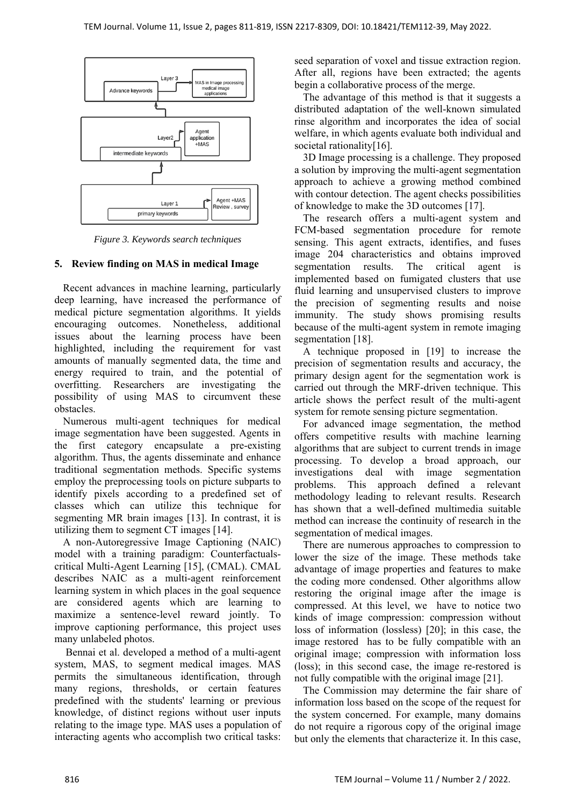

*Figure 3. Keywords search techniques* 

## **5. Review finding on MAS in medical Image**

Recent advances in machine learning, particularly deep learning, have increased the performance of medical picture segmentation algorithms. It yields encouraging outcomes. Nonetheless, additional issues about the learning process have been highlighted, including the requirement for vast amounts of manually segmented data, the time and energy required to train, and the potential of overfitting. Researchers are investigating the possibility of using MAS to circumvent these obstacles.

Numerous multi-agent techniques for medical image segmentation have been suggested. Agents in the first category encapsulate a pre-existing algorithm. Thus, the agents disseminate and enhance traditional segmentation methods. Specific systems employ the preprocessing tools on picture subparts to identify pixels according to a predefined set of classes which can utilize this technique for segmenting MR brain images [13]. In contrast, it is utilizing them to segment CT images [14].

A non-Autoregressive Image Captioning (NAIC) model with a training paradigm: Counterfactualscritical Multi-Agent Learning [15], (CMAL). CMAL describes NAIC as a multi-agent reinforcement learning system in which places in the goal sequence are considered agents which are learning to maximize a sentence-level reward jointly. To improve captioning performance, this project uses many unlabeled photos.

 Bennai et al. developed a method of a multi-agent system, MAS, to segment medical images. MAS permits the simultaneous identification, through many regions, thresholds, or certain features predefined with the students' learning or previous knowledge, of distinct regions without user inputs relating to the image type. MAS uses a population of interacting agents who accomplish two critical tasks:

seed separation of voxel and tissue extraction region. After all, regions have been extracted; the agents begin a collaborative process of the merge.

The advantage of this method is that it suggests a distributed adaptation of the well-known simulated rinse algorithm and incorporates the idea of social welfare, in which agents evaluate both individual and societal rationality<sup>[16]</sup>.

3D Image processing is a challenge. They proposed a solution by improving the multi-agent segmentation approach to achieve a growing method combined with contour detection. The agent checks possibilities of knowledge to make the 3D outcomes [17].

The research offers a multi-agent system and FCM-based segmentation procedure for remote sensing. This agent extracts, identifies, and fuses image 204 characteristics and obtains improved segmentation results. The critical agent is implemented based on fumigated clusters that use fluid learning and unsupervised clusters to improve the precision of segmenting results and noise immunity. The study shows promising results because of the multi-agent system in remote imaging segmentation [18].

A technique proposed in [19] to increase the precision of segmentation results and accuracy, the primary design agent for the segmentation work is carried out through the MRF-driven technique. This article shows the perfect result of the multi-agent system for remote sensing picture segmentation.

For advanced image segmentation, the method offers competitive results with machine learning algorithms that are subject to current trends in image processing. To develop a broad approach, our investigations deal with image segmentation problems. This approach defined a relevant methodology leading to relevant results. Research has shown that a well-defined multimedia suitable method can increase the continuity of research in the segmentation of medical images.

There are numerous approaches to compression to lower the size of the image. These methods take advantage of image properties and features to make the coding more condensed. Other algorithms allow restoring the original image after the image is compressed. At this level, we have to notice two kinds of image compression: compression without loss of information (lossless) [20]; in this case, the image restored has to be fully compatible with an original image; compression with information loss (loss); in this second case, the image re-restored is not fully compatible with the original image [21].

The Commission may determine the fair share of information loss based on the scope of the request for the system concerned. For example, many domains do not require a rigorous copy of the original image but only the elements that characterize it. In this case,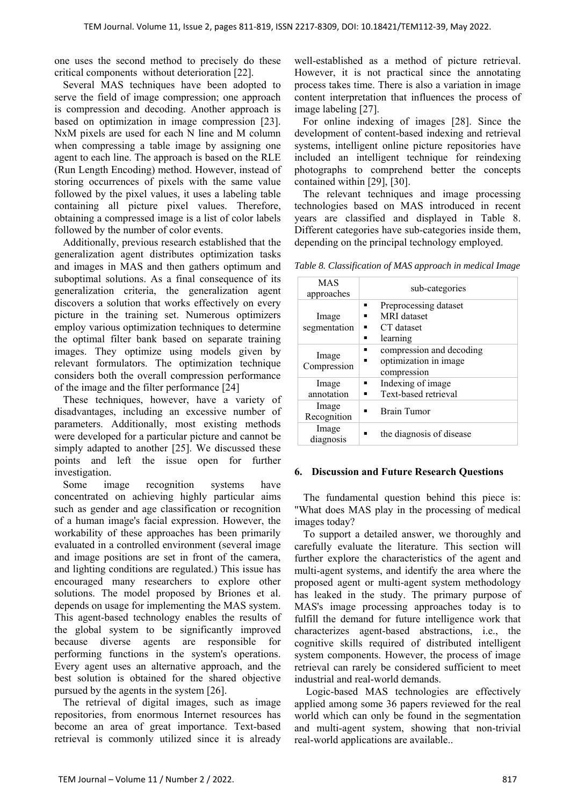one uses the second method to precisely do these critical components without deterioration [22].

Several MAS techniques have been adopted to serve the field of image compression; one approach is compression and decoding. Another approach is based on optimization in image compression [23]. NxM pixels are used for each N line and M column when compressing a table image by assigning one agent to each line. The approach is based on the RLE (Run Length Encoding) method. However, instead of storing occurrences of pixels with the same value followed by the pixel values, it uses a labeling table containing all picture pixel values. Therefore, obtaining a compressed image is a list of color labels followed by the number of color events.

Additionally, previous research established that the generalization agent distributes optimization tasks and images in MAS and then gathers optimum and suboptimal solutions. As a final consequence of its generalization criteria, the generalization agent discovers a solution that works effectively on every picture in the training set. Numerous optimizers employ various optimization techniques to determine the optimal filter bank based on separate training images. They optimize using models given by relevant formulators. The optimization technique considers both the overall compression performance of the image and the filter performance [24]

These techniques, however, have a variety of disadvantages, including an excessive number of parameters. Additionally, most existing methods were developed for a particular picture and cannot be simply adapted to another [25]. We discussed these points and left the issue open for further investigation.

Some image recognition systems have concentrated on achieving highly particular aims such as gender and age classification or recognition of a human image's facial expression. However, the workability of these approaches has been primarily evaluated in a controlled environment (several image and image positions are set in front of the camera, and lighting conditions are regulated.) This issue has encouraged many researchers to explore other solutions. The model proposed by Briones et al. depends on usage for implementing the MAS system. This agent-based technology enables the results of the global system to be significantly improved because diverse agents are responsible for performing functions in the system's operations. Every agent uses an alternative approach, and the best solution is obtained for the shared objective pursued by the agents in the system [26].

The retrieval of digital images, such as image repositories, from enormous Internet resources has become an area of great importance. Text-based retrieval is commonly utilized since it is already well-established as a method of picture retrieval. However, it is not practical since the annotating process takes time. There is also a variation in image content interpretation that influences the process of image labeling [27].

For online indexing of images [28]. Since the development of content-based indexing and retrieval systems, intelligent online picture repositories have included an intelligent technique for reindexing photographs to comprehend better the concepts contained within [29], [30].

The relevant techniques and image processing technologies based on MAS introduced in recent years are classified and displayed in Table 8. Different categories have sub-categories inside them, depending on the principal technology employed.

*Table 8. Classification of MAS approach in medical Image* 

| <b>MAS</b><br>approaches | sub-categories                                                             |
|--------------------------|----------------------------------------------------------------------------|
| Image<br>segmentation    | Preprocessing dataset<br>٠<br><b>MRI</b> dataset<br>CT dataset<br>learning |
| Image<br>Compression     | compression and decoding<br>optimization in image<br>compression           |
| Image<br>annotation      | Indexing of image<br>Text-based retrieval                                  |
| Image<br>Recognition     | Brain Tumor                                                                |
| Image<br>diagnosis       | the diagnosis of disease                                                   |

## **6. Discussion and Future Research Questions**

The fundamental question behind this piece is: "What does MAS play in the processing of medical images today?

To support a detailed answer, we thoroughly and carefully evaluate the literature. This section will further explore the characteristics of the agent and multi-agent systems, and identify the area where the proposed agent or multi-agent system methodology has leaked in the study. The primary purpose of MAS's image processing approaches today is to fulfill the demand for future intelligence work that characterizes agent-based abstractions, i.e., the cognitive skills required of distributed intelligent system components. However, the process of image retrieval can rarely be considered sufficient to meet industrial and real-world demands.

 Logic-based MAS technologies are effectively applied among some 36 papers reviewed for the real world which can only be found in the segmentation and multi-agent system, showing that non-trivial real-world applications are available..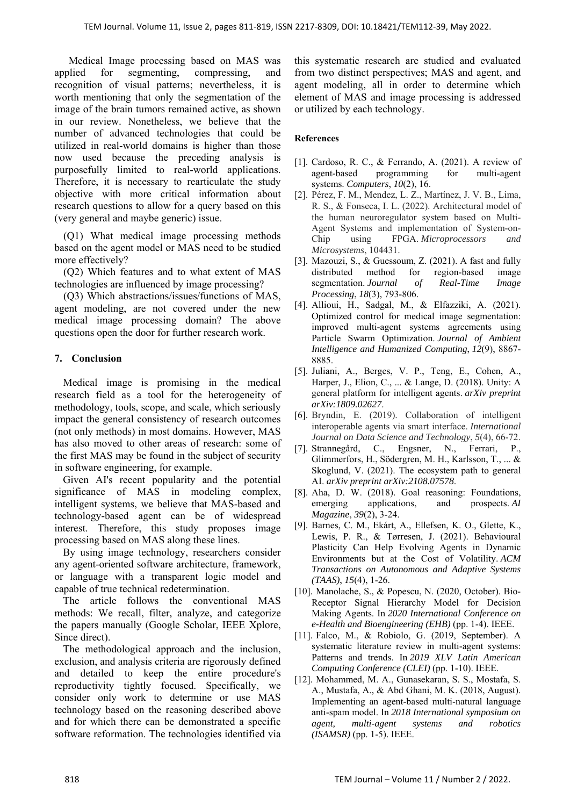Medical Image processing based on MAS was applied for segmenting, compressing, and recognition of visual patterns; nevertheless, it is worth mentioning that only the segmentation of the image of the brain tumors remained active, as shown in our review. Nonetheless, we believe that the number of advanced technologies that could be utilized in real-world domains is higher than those now used because the preceding analysis is purposefully limited to real-world applications. Therefore, it is necessary to rearticulate the study objective with more critical information about research questions to allow for a query based on this (very general and maybe generic) issue.

(Q1) What medical image processing methods based on the agent model or MAS need to be studied more effectively?

(Q2) Which features and to what extent of MAS technologies are influenced by image processing?

(Q3) Which abstractions/issues/functions of MAS, agent modeling, are not covered under the new medical image processing domain? The above questions open the door for further research work.

## **7. Conclusion**

Medical image is promising in the medical research field as a tool for the heterogeneity of methodology, tools, scope, and scale, which seriously impact the general consistency of research outcomes (not only methods) in most domains. However, MAS has also moved to other areas of research: some of the first MAS may be found in the subject of security in software engineering, for example.

Given AI's recent popularity and the potential significance of MAS in modeling complex, intelligent systems, we believe that MAS-based and technology-based agent can be of widespread interest. Therefore, this study proposes image processing based on MAS along these lines.

By using image technology, researchers consider any agent-oriented software architecture, framework, or language with a transparent logic model and capable of true technical redetermination.

The article follows the conventional MAS methods: We recall, filter, analyze, and categorize the papers manually (Google Scholar, IEEE Xplore, Since direct).

The methodological approach and the inclusion, exclusion, and analysis criteria are rigorously defined and detailed to keep the entire procedure's reproductivity tightly focused. Specifically, we consider only work to determine or use MAS technology based on the reasoning described above and for which there can be demonstrated a specific software reformation. The technologies identified via this systematic research are studied and evaluated from two distinct perspectives; MAS and agent, and agent modeling, all in order to determine which element of MAS and image processing is addressed or utilized by each technology.

## **References**

- [1]. Cardoso, R. C., & Ferrando, A. (2021). A review of agent-based programming for multi-agent systems. *Computers*, *10*(2), 16.
- [2]. Pérez, F. M., Mendez, L. Z., Martínez, J. V. B., Lima, R. S., & Fonseca, I. L. (2022). Architectural model of the human neuroregulator system based on Multi-Agent Systems and implementation of System-on-Chip using FPGA. *Microprocessors and Microsystems*, 104431.
- [3]. Mazouzi, S., & Guessoum, Z. (2021). A fast and fully distributed method for region-based image segmentation. *Journal of Real-Time Image Processing*, *18*(3), 793-806.
- [4]. Allioui, H., Sadgal, M., & Elfazziki, A. (2021). Optimized control for medical image segmentation: improved multi-agent systems agreements using Particle Swarm Optimization. *Journal of Ambient Intelligence and Humanized Computing*, *12*(9), 8867- 8885.
- [5]. Juliani, A., Berges, V. P., Teng, E., Cohen, A., Harper, J., Elion, C., ... & Lange, D. (2018). Unity: A general platform for intelligent agents. *arXiv preprint arXiv:1809.02627*.
- [6]. Bryndin, E. (2019). Collaboration of intelligent interoperable agents via smart interface. *International Journal on Data Science and Technology*, *5*(4), 66-72.
- [7]. Strannegård, C., Engsner, N., Ferrari, P., Glimmerfors, H., Södergren, M. H., Karlsson, T., ... & Skoglund, V. (2021). The ecosystem path to general AI. *arXiv preprint arXiv:2108.07578*.
- [8]. Aha, D. W. (2018). Goal reasoning: Foundations, emerging applications, and prospects. *AI Magazine*, *39*(2), 3-24.
- [9]. Barnes, C. M., Ekárt, A., Ellefsen, K. O., Glette, K., Lewis, P. R., & Tørresen, J. (2021). Behavioural Plasticity Can Help Evolving Agents in Dynamic Environments but at the Cost of Volatility. *ACM Transactions on Autonomous and Adaptive Systems (TAAS)*, *15*(4), 1-26.
- [10]. Manolache, S., & Popescu, N. (2020, October). Bio-Receptor Signal Hierarchy Model for Decision Making Agents. In *2020 International Conference on e-Health and Bioengineering (EHB)* (pp. 1-4). IEEE.
- [11]. Falco, M., & Robiolo, G. (2019, September). A systematic literature review in multi-agent systems: Patterns and trends. In *2019 XLV Latin American Computing Conference (CLEI)* (pp. 1-10). IEEE.
- [12]. Mohammed, M. A., Gunasekaran, S. S., Mostafa, S. A., Mustafa, A., & Abd Ghani, M. K. (2018, August). Implementing an agent-based multi-natural language anti-spam model. In *2018 International symposium on agent, multi-agent systems and robotics (ISAMSR)* (pp. 1-5). IEEE.